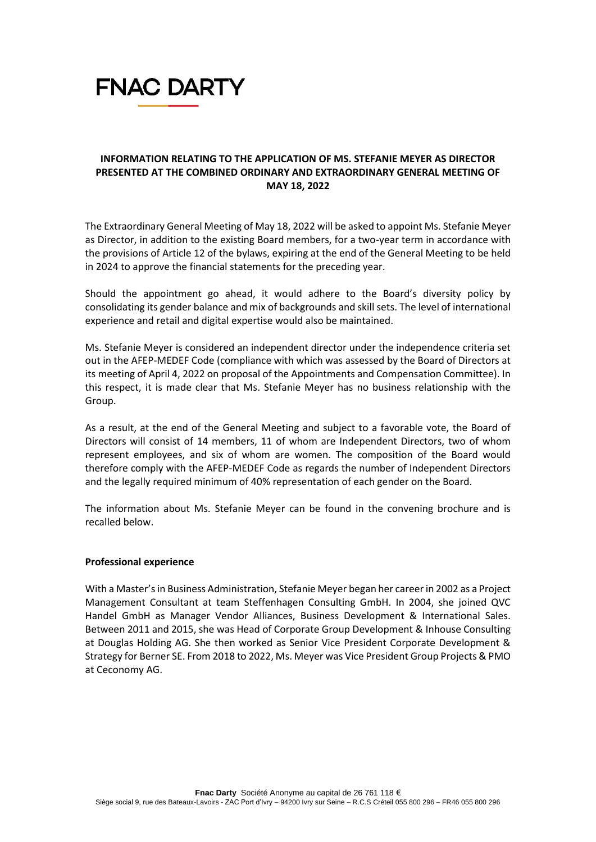

# **INFORMATION RELATING TO THE APPLICATION OF MS. STEFANIE MEYER AS DIRECTOR PRESENTED AT THE COMBINED ORDINARY AND EXTRAORDINARY GENERAL MEETING OF MAY 18, 2022**

The Extraordinary General Meeting of May 18, 2022 will be asked to appoint Ms. Stefanie Meyer as Director, in addition to the existing Board members, for a two-year term in accordance with the provisions of Article 12 of the bylaws, expiring at the end of the General Meeting to be held in 2024 to approve the financial statements for the preceding year.

Should the appointment go ahead, it would adhere to the Board's diversity policy by consolidating its gender balance and mix of backgrounds and skill sets. The level of international experience and retail and digital expertise would also be maintained.

Ms. Stefanie Meyer is considered an independent director under the independence criteria set out in the AFEP-MEDEF Code (compliance with which was assessed by the Board of Directors at its meeting of April 4, 2022 on proposal of the Appointments and Compensation Committee). In this respect, it is made clear that Ms. Stefanie Meyer has no business relationship with the Group.

As a result, at the end of the General Meeting and subject to a favorable vote, the Board of Directors will consist of 14 members, 11 of whom are Independent Directors, two of whom represent employees, and six of whom are women. The composition of the Board would therefore comply with the AFEP-MEDEF Code as regards the number of Independent Directors and the legally required minimum of 40% representation of each gender on the Board.

The information about Ms. Stefanie Meyer can be found in the convening brochure and is recalled below.

### **Professional experience**

With a Master's in Business Administration, Stefanie Meyer began her career in 2002 as a Project Management Consultant at team Steffenhagen Consulting GmbH. In 2004, she joined QVC Handel GmbH as Manager Vendor Alliances, Business Development & International Sales. Between 2011 and 2015, she was Head of Corporate Group Development & Inhouse Consulting at Douglas Holding AG. She then worked as Senior Vice President Corporate Development & Strategy for Berner SE. From 2018 to 2022, Ms. Meyer was Vice President Group Projects & PMO at Ceconomy AG.